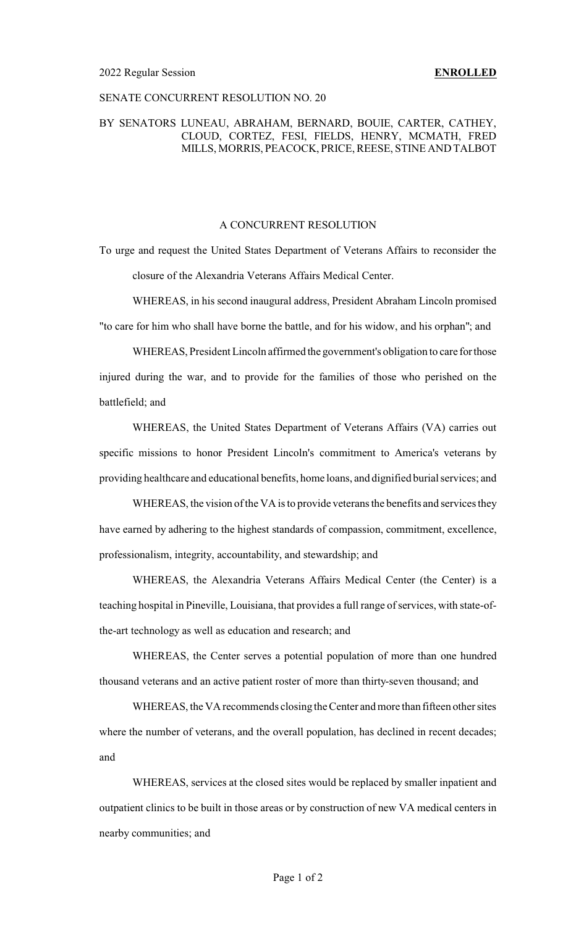#### SENATE CONCURRENT RESOLUTION NO. 20

### BY SENATORS LUNEAU, ABRAHAM, BERNARD, BOUIE, CARTER, CATHEY, CLOUD, CORTEZ, FESI, FIELDS, HENRY, MCMATH, FRED MILLS, MORRIS, PEACOCK, PRICE, REESE, STINE AND TALBOT

## A CONCURRENT RESOLUTION

To urge and request the United States Department of Veterans Affairs to reconsider the closure of the Alexandria Veterans Affairs Medical Center.

WHEREAS, in his second inaugural address, President Abraham Lincoln promised "to care for him who shall have borne the battle, and for his widow, and his orphan"; and

WHEREAS, President Lincoln affirmed the government's obligation to care forthose injured during the war, and to provide for the families of those who perished on the battlefield; and

WHEREAS, the United States Department of Veterans Affairs (VA) carries out specific missions to honor President Lincoln's commitment to America's veterans by providing healthcare and educational benefits, home loans, and dignified burial services; and

WHEREAS, the vision of the VA is to provide veterans the benefits and services they have earned by adhering to the highest standards of compassion, commitment, excellence, professionalism, integrity, accountability, and stewardship; and

WHEREAS, the Alexandria Veterans Affairs Medical Center (the Center) is a teaching hospital in Pineville, Louisiana, that provides a full range of services, with state-ofthe-art technology as well as education and research; and

WHEREAS, the Center serves a potential population of more than one hundred thousand veterans and an active patient roster of more than thirty-seven thousand; and

WHEREAS, the VA recommends closing the Center and more than fifteen other sites where the number of veterans, and the overall population, has declined in recent decades; and

WHEREAS, services at the closed sites would be replaced by smaller inpatient and outpatient clinics to be built in those areas or by construction of new VA medical centers in nearby communities; and